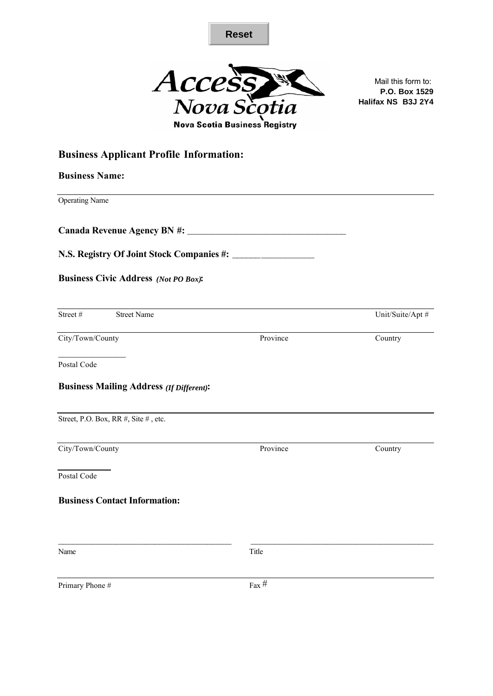



Mail this form to: **P.O. Box 1529 Halifax NS B3J 2Y4**

# **Business Applicant Profile Information:**

| <b>Business Name:</b>                           |          |                  |
|-------------------------------------------------|----------|------------------|
| <b>Operating Name</b>                           |          |                  |
|                                                 |          |                  |
|                                                 |          |                  |
| <b>Business Civic Address (Not PO Box):</b>     |          |                  |
| Street #<br><b>Street Name</b>                  |          | Unit/Suite/Apt # |
| City/Town/County                                | Province | Country          |
| Postal Code                                     |          |                  |
| <b>Business Mailing Address (If Different):</b> |          |                  |
| Street, P.O. Box, RR #, Site #, etc.            |          |                  |
| City/Town/County                                | Province | Country          |
| Postal Code                                     |          |                  |
| <b>Business Contact Information:</b>            |          |                  |
|                                                 |          |                  |
| Name                                            | Title    |                  |
| Primary Phone #                                 | Fax $#$  |                  |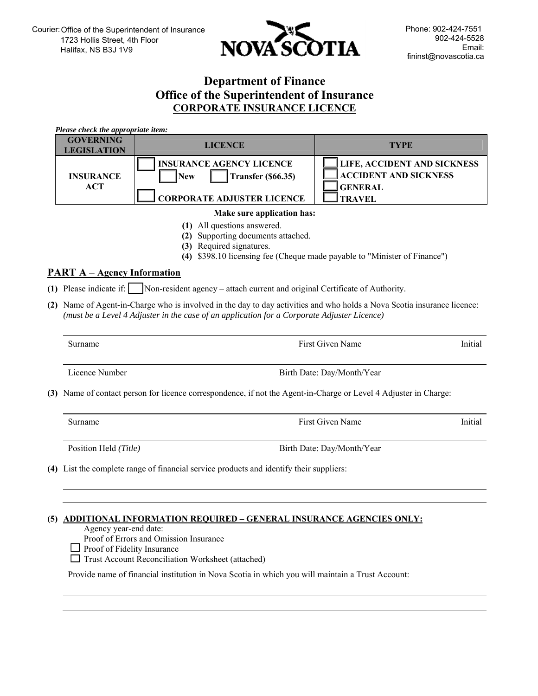

## **Department of Finance Office of the Superintendent of Insurance CORPORATE INSURANCE LICENCE**

*Please check the appropriate item:*  **GOVERNING LICENCE LICENCE TYPE INSURANCE ACT INSURANCE AGENCY LICENCE New Transfer (\$66.35) CORPORATE ADJUSTER LICENCE LIFE, ACCIDENT AND SICKNESS ACCIDENT AND SICKNESS GENERAL TRAVEL** 

#### **Make sure application has:**

- **(1)** All questions answered.
- **(2)** Supporting documents attached.
- **(3)** Required signatures.
- **(4)** \$398.10 licensing fee (Cheque made payable to "Minister of Finance")

### **PART A – Agency Information**

- **(1)** Please indicate if: Non-resident agency attach current and original Certificate of Authority.
- **(2)** Name of Agent-in-Charge who is involved in the day to day activities and who holds a Nova Scotia insurance licence: *(must be a Level 4 Adjuster in the case of an application for a Corporate Adjuster Licence)*

| Surname                                                                                                          | First Given Name           | Initial |  |
|------------------------------------------------------------------------------------------------------------------|----------------------------|---------|--|
| Licence Number                                                                                                   | Birth Date: Day/Month/Year |         |  |
| (3) Name of contact person for licence correspondence, if not the Agent-in-Charge or Level 4 Adjuster in Charge: |                            |         |  |
| Surname                                                                                                          | First Given Name           | Initial |  |

Position Held *(Title)* **Birth Date: Day/Month/Year** 

**(4)** List the complete range of financial service products and identify their suppliers:

### **(5) ADDITIONAL INFORMATION REQUIRED – GENERAL INSURANCE AGENCIES ONLY:**

Agency year-end date:

Proof of Errors and Omission Insurance

 $\Box$  Proof of Fidelity Insurance

□ Trust Account Reconciliation Worksheet (attached)

Provide name of financial institution in Nova Scotia in which you will maintain a Trust Account: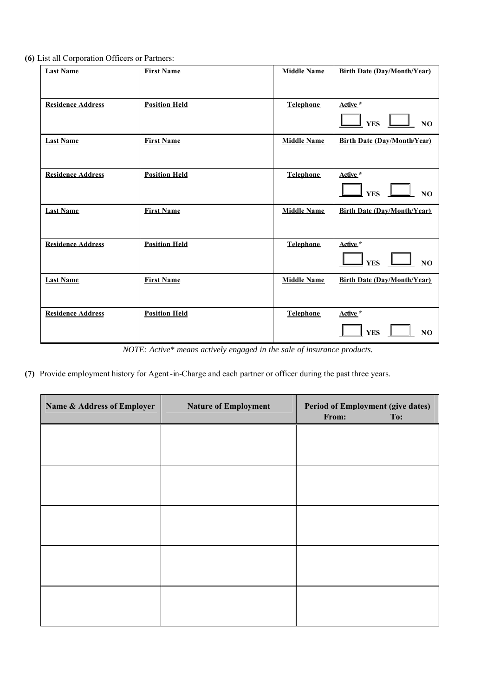**(6)** List all Corporation Officers or Partners:

| <b>Last Name</b>         | <b>First Name</b>    | <b>Middle Name</b> | <b>Birth Date (Day/Month/Year)</b>       |
|--------------------------|----------------------|--------------------|------------------------------------------|
| <b>Residence Address</b> | <b>Position Held</b> | Telephone          | Active *<br>NO<br><b>YES</b>             |
| <b>Last Name</b>         | <b>First Name</b>    | <b>Middle Name</b> | <b>Birth Date (Day/Month/Year)</b>       |
| <b>Residence Address</b> | <b>Position Held</b> | <b>Telephone</b>   | Active *<br>YES _<br>NQ                  |
| <b>Last Name</b>         | <b>First Name</b>    | <b>Middle Name</b> | <b>Birth Date (Day/Month/Year)</b>       |
| <b>Residence Address</b> | <b>Position Held</b> | Telephone          | Active *<br>$YES$ $-$<br>N <sub>O</sub>  |
| <b>Last Name</b>         | <b>First Name</b>    | <b>Middle Name</b> | <b>Birth Date (Day/Month/Year)</b>       |
| <b>Residence Address</b> | <b>Position Held</b> | <b>Telephone</b>   | Active *<br><b>YES</b><br>N <sub>O</sub> |

*NOTE: Active\* means actively engaged in the sale of insurance products.*

**(7)** Provide employment history for Agent-in-Charge and each partner or officer during the past three years.

| Name & Address of Employer | <b>Nature of Employment</b> | Period of Employment (give dates)<br>From:<br>To: |  |
|----------------------------|-----------------------------|---------------------------------------------------|--|
|                            |                             |                                                   |  |
|                            |                             |                                                   |  |
|                            |                             |                                                   |  |
|                            |                             |                                                   |  |
|                            |                             |                                                   |  |
|                            |                             |                                                   |  |
|                            |                             |                                                   |  |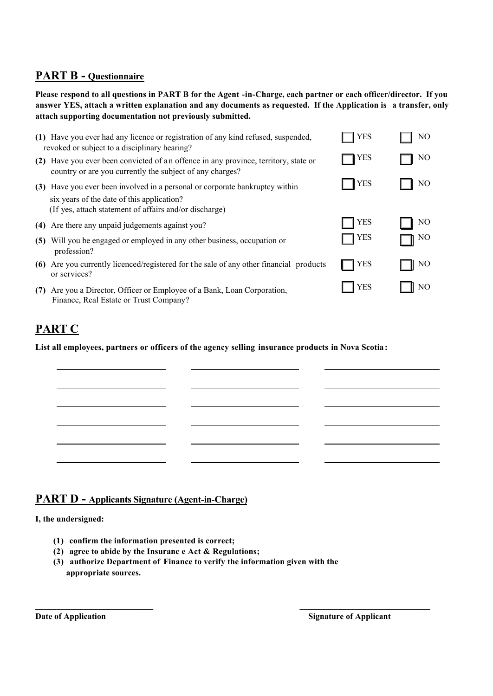# **PART B - Questionnaire**

**Please respond to all questions in PART B for the Agent -in-Charge, each partner or each officer/director. If you answer YES, attach a written explanation and any documents as requested. If the Application is a transfer, only attach supporting documentation not previously submitted.**

|     | (1) Have you ever had any licence or registration of any kind refused, suspended,<br>revoked or subject to a disciplinary hearing?                                               | YES          | NO             |
|-----|----------------------------------------------------------------------------------------------------------------------------------------------------------------------------------|--------------|----------------|
| (2) | Have you ever been convicted of an offence in any province, territory, state or<br>country or are you currently the subject of any charges?                                      | YES          | NO             |
| (3) | Have you ever been involved in a personal or corporate bankruptcy within<br>six years of the date of this application?<br>(If yes, attach statement of affairs and/or discharge) | <b>I</b> YES | NO             |
|     | (4) Are there any unpaid judgements against you?                                                                                                                                 | <b>YES</b>   | N <sub>O</sub> |
| (5) | Will you be engaged or employed in any other business, occupation or<br>profession?                                                                                              | <b>YES</b>   | NO             |
|     | (6) Are you currently licenced/registered for the sale of any other financial products<br>or services?                                                                           | YES          | NO             |
| (7) | Are you a Director, Officer or Employee of a Bank, Loan Corporation,<br>Finance, Real Estate or Trust Company?                                                                   | <b>YES</b>   | N <sub>O</sub> |

# **PART C**

**List all employees, partners or officers of the agency selling insurance products in Nova Scotia:**

## **PART D - Applicants Signature (Agent-in-Charge)**

**I, the undersigned:**

- **(1) confirm the information presented is correct;**
- **(2) agree to abide by the Insuranc e Act & Regulations;**
- **(3) authorize Department of Finance to verify the information given with the appropriate sources.**

**\_\_\_\_\_\_\_\_\_\_\_\_\_\_\_\_\_\_\_\_\_\_\_\_\_\_\_\_ \_\_\_\_\_\_\_\_\_\_\_\_\_\_\_\_\_\_\_\_\_\_\_\_\_\_\_\_\_\_\_**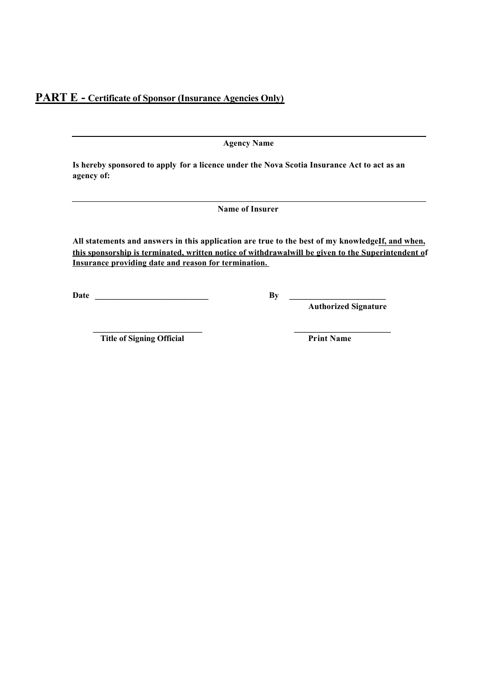**Agency Name**

**Is hereby sponsored to apply for a licence under the Nova Scotia Insurance Act to act as an agency of:**

**Name of Insurer**

All statements and answers in this application are true to the best of my knowledge**If**, and when, this sponsorship is terminated, written notice of withdrawal will be given to the Superintendent of **Insurance providing date and reason for termination.**

**\_\_\_\_\_\_\_\_\_\_\_\_\_\_\_\_\_\_\_\_\_\_\_\_\_\_ \_\_\_\_\_\_\_\_\_\_\_\_\_\_\_\_\_\_\_\_\_\_\_** 

**Date \_\_\_\_\_\_\_\_\_\_\_\_\_\_\_\_\_\_\_\_\_\_\_\_\_\_\_ By \_\_\_\_\_\_\_\_\_\_\_\_\_\_\_\_\_\_\_\_\_\_\_**

**Authorized Signature**

**Title of Signing Official Print Name**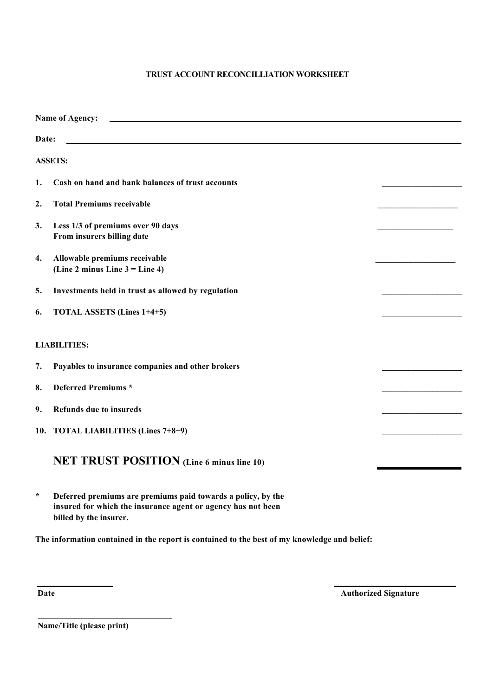### **TRUST ACCOUNT RECONCILLIATION WORKSHEET**

| <b>Name of Agency:</b> |                                                                                                                                                        |  |  |
|------------------------|--------------------------------------------------------------------------------------------------------------------------------------------------------|--|--|
| Date:                  |                                                                                                                                                        |  |  |
|                        | <b>ASSETS:</b>                                                                                                                                         |  |  |
| 1.                     | Cash on hand and bank balances of trust accounts                                                                                                       |  |  |
| 2.                     | <b>Total Premiums receivable</b>                                                                                                                       |  |  |
| 3.                     | Less 1/3 of premiums over 90 days<br>From insurers billing date                                                                                        |  |  |
| 4.                     | Allowable premiums receivable<br>(Line 2 minus Line $3 =$ Line 4)                                                                                      |  |  |
| 5.                     | Investments held in trust as allowed by regulation                                                                                                     |  |  |
| 6.                     | <b>TOTAL ASSETS (Lines 1+4+5)</b>                                                                                                                      |  |  |
|                        | <b>LIABILITIES:</b>                                                                                                                                    |  |  |
| 7.                     | Payables to insurance companies and other brokers                                                                                                      |  |  |
| 8.                     | <b>Deferred Premiums *</b>                                                                                                                             |  |  |
| 9.                     | <b>Refunds due to insureds</b>                                                                                                                         |  |  |
|                        | 10. TOTAL LIABILITIES (Lines 7+8+9)                                                                                                                    |  |  |
|                        | <b>NET TRUST POSITION</b> (Line 6 minus line 10)                                                                                                       |  |  |
| $\star$                | Deferred premiums are premiums paid towards a policy, by the<br>insured for which the insurance agent or agency has not been<br>billed by the insurer. |  |  |

**The information contained in the report is contained to the best of my knowledge and belief:**

**\_\_\_\_\_\_\_\_\_\_\_\_\_\_\_\_\_\_ \_\_\_\_\_\_\_\_\_\_\_\_\_\_\_\_\_\_\_\_\_\_\_\_\_\_\_\_\_**

**Date Authorized Signature** 

 **Name/Title (please print)**